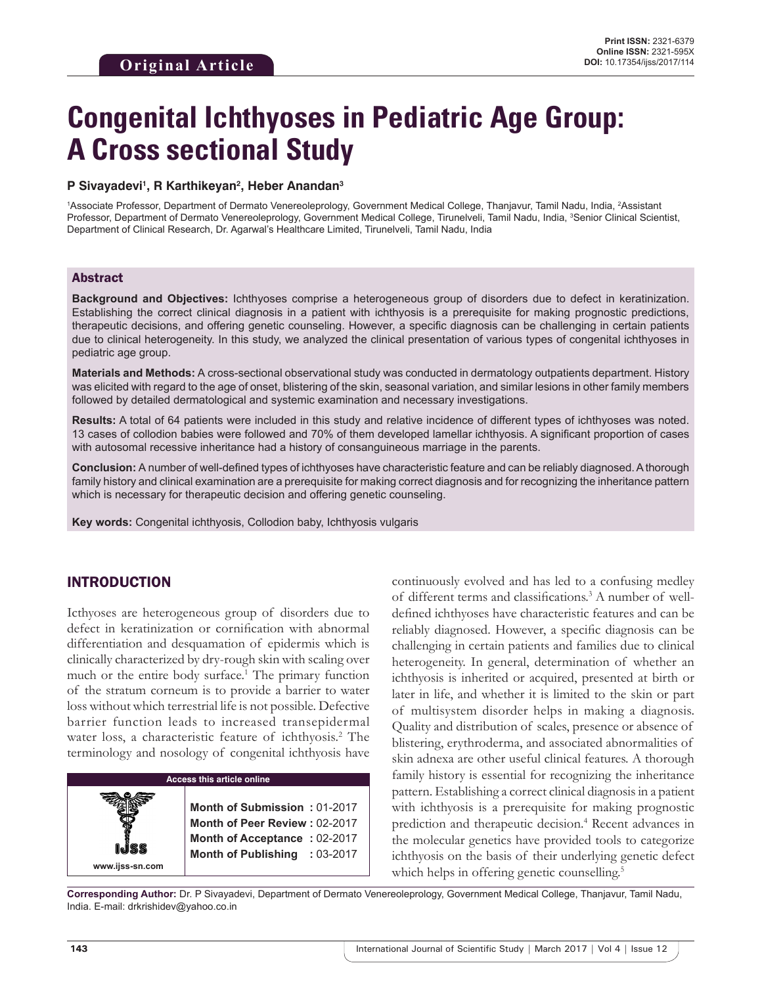# **Congenital Ichthyoses in Pediatric Age Group: A Cross sectional Study**

#### **P Sivayadevi1 , R Karthikeyan2 , Heber Anandan3**

1Associate Professor, Department of Dermato Venereoleprology, Government Medical College, Thanjavur, Tamil Nadu, India, <sup>2</sup>Assistant Professor, Department of Dermato Venereoleprology, Government Medical College, Tirunelveli, Tamil Nadu, India, <sup>3</sup>Senior Clinical Scientist, Department of Clinical Research, Dr. Agarwal's Healthcare Limited, Tirunelveli, Tamil Nadu, India

#### Abstract

**Background and Objectives:** Ichthyoses comprise a heterogeneous group of disorders due to defect in keratinization. Establishing the correct clinical diagnosis in a patient with ichthyosis is a prerequisite for making prognostic predictions, therapeutic decisions, and offering genetic counseling. However, a specific diagnosis can be challenging in certain patients due to clinical heterogeneity. In this study, we analyzed the clinical presentation of various types of congenital ichthyoses in pediatric age group.

**Materials and Methods:** A cross-sectional observational study was conducted in dermatology outpatients department. History was elicited with regard to the age of onset, blistering of the skin, seasonal variation, and similar lesions in other family members followed by detailed dermatological and systemic examination and necessary investigations.

**Results:** A total of 64 patients were included in this study and relative incidence of different types of ichthyoses was noted. 13 cases of collodion babies were followed and 70% of them developed lamellar ichthyosis. A significant proportion of cases with autosomal recessive inheritance had a history of consanguineous marriage in the parents.

**Conclusion:** A number of well-defined types of ichthyoses have characteristic feature and can be reliably diagnosed. Athorough family history and clinical examination are a prerequisite for making correct diagnosis and for recognizing the inheritance pattern which is necessary for therapeutic decision and offering genetic counseling.

**Key words:** Congenital ichthyosis, Collodion baby, Ichthyosis vulgaris

## INTRODUCTION

Icthyoses are heterogeneous group of disorders due to defect in keratinization or cornification with abnormal differentiation and desquamation of epidermis which is clinically characterized by dry-rough skin with scaling over much or the entire body surface.<sup>1</sup> The primary function of the stratum corneum is to provide a barrier to water loss without which terrestrial life is not possible. Defective barrier function leads to increased transepidermal water loss, a characteristic feature of ichthyosis.<sup>2</sup> The terminology and nosology of congenital ichthyosis have



continuously evolved and has led to a confusing medley of different terms and classifications.<sup>3</sup> A number of welldefined ichthyoses have characteristic features and can be reliably diagnosed. However, a specific diagnosis can be challenging in certain patients and families due to clinical heterogeneity. In general, determination of whether an ichthyosis is inherited or acquired, presented at birth or later in life, and whether it is limited to the skin or part of multisystem disorder helps in making a diagnosis. Quality and distribution of scales, presence or absence of blistering, erythroderma, and associated abnormalities of skin adnexa are other useful clinical features. A thorough family history is essential for recognizing the inheritance pattern. Establishing a correct clinical diagnosis in a patient with ichthyosis is a prerequisite for making prognostic prediction and therapeutic decision.<sup>4</sup> Recent advances in the molecular genetics have provided tools to categorize ichthyosis on the basis of their underlying genetic defect which helps in offering genetic counselling.<sup>5</sup>

**Corresponding Author:** Dr. P Sivayadevi, Department of Dermato Venereoleprology, Government Medical College, Thanjavur, Tamil Nadu, India. E-mail: drkrishidev@yahoo.co.in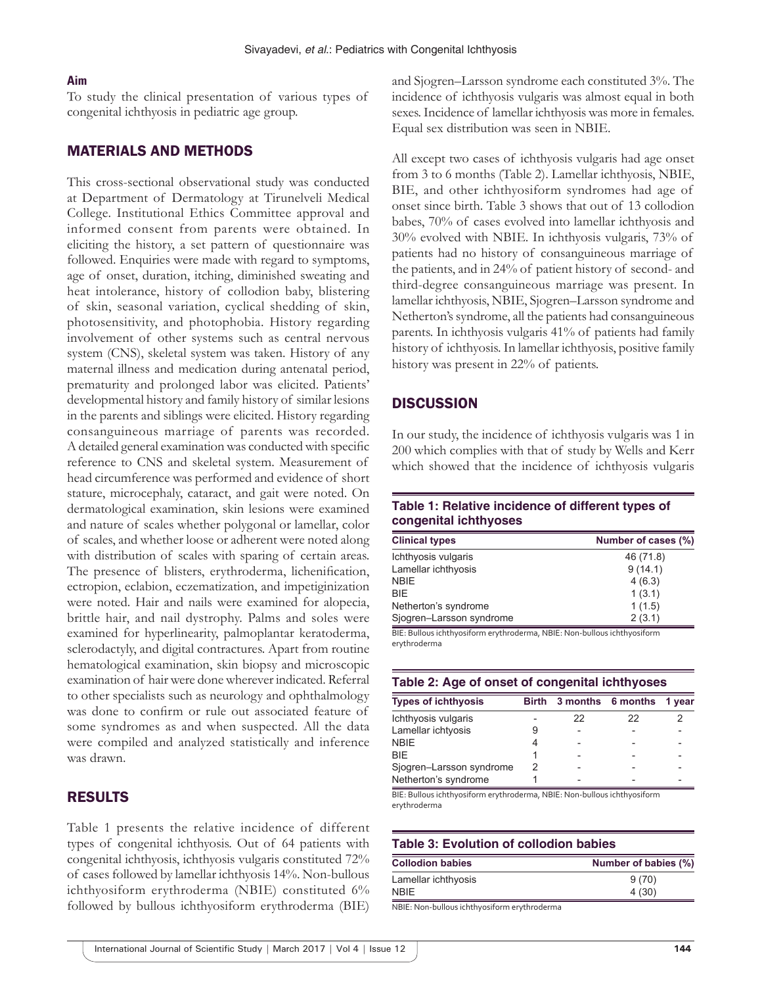#### **Aim**

To study the clinical presentation of various types of congenital ichthyosis in pediatric age group.

## MATERIALS AND METHODS

This cross-sectional observational study was conducted at Department of Dermatology at Tirunelveli Medical College. Institutional Ethics Committee approval and informed consent from parents were obtained. In eliciting the history, a set pattern of questionnaire was followed. Enquiries were made with regard to symptoms, age of onset, duration, itching, diminished sweating and heat intolerance, history of collodion baby, blistering of skin, seasonal variation, cyclical shedding of skin, photosensitivity, and photophobia. History regarding involvement of other systems such as central nervous system (CNS), skeletal system was taken. History of any maternal illness and medication during antenatal period, prematurity and prolonged labor was elicited. Patients' developmental history and family history of similar lesions in the parents and siblings were elicited. History regarding consanguineous marriage of parents was recorded. A detailed general examination was conducted with specific reference to CNS and skeletal system. Measurement of head circumference was performed and evidence of short stature, microcephaly, cataract, and gait were noted. On dermatological examination, skin lesions were examined and nature of scales whether polygonal or lamellar, color of scales, and whether loose or adherent were noted along with distribution of scales with sparing of certain areas. The presence of blisters, erythroderma, lichenification, ectropion, eclabion, eczematization, and impetiginization were noted. Hair and nails were examined for alopecia, brittle hair, and nail dystrophy. Palms and soles were examined for hyperlinearity, palmoplantar keratoderma, sclerodactyly, and digital contractures. Apart from routine hematological examination, skin biopsy and microscopic examination of hair were done wherever indicated. Referral to other specialists such as neurology and ophthalmology was done to confirm or rule out associated feature of some syndromes as and when suspected. All the data were compiled and analyzed statistically and inference was drawn.

## RESULTS

Table 1 presents the relative incidence of different types of congenital ichthyosis. Out of 64 patients with congenital ichthyosis, ichthyosis vulgaris constituted 72% of cases followed by lamellar ichthyosis 14%. Non-bullous ichthyosiform erythroderma (NBIE) constituted 6% followed by bullous ichthyosiform erythroderma (BIE)

and Sjogren–Larsson syndrome each constituted 3%. The incidence of ichthyosis vulgaris was almost equal in both sexes. Incidence of lamellar ichthyosis was more in females. Equal sex distribution was seen in NBIE.

All except two cases of ichthyosis vulgaris had age onset from 3 to 6 months (Table 2). Lamellar ichthyosis, NBIE, BIE, and other ichthyosiform syndromes had age of onset since birth. Table 3 shows that out of 13 collodion babes, 70% of cases evolved into lamellar ichthyosis and 30% evolved with NBIE. In ichthyosis vulgaris, 73% of patients had no history of consanguineous marriage of the patients, and in 24% of patient history of second- and third-degree consanguineous marriage was present. In lamellar ichthyosis, NBIE, Sjogren–Larsson syndrome and Netherton's syndrome, all the patients had consanguineous parents. In ichthyosis vulgaris 41% of patients had family history of ichthyosis. In lamellar ichthyosis, positive family history was present in 22% of patients.

## **DISCUSSION**

In our study, the incidence of ichthyosis vulgaris was 1 in 200 which complies with that of study by Wells and Kerr which showed that the incidence of ichthyosis vulgaris

#### **Table 1: Relative incidence of different types of congenital ichthyoses**

| <b>Clinical types</b>    | Number of cases (%) |  |  |
|--------------------------|---------------------|--|--|
| Ichthyosis vulgaris      | 46 (71.8)           |  |  |
| Lamellar ichthyosis      | 9(14.1)             |  |  |
| <b>NBIE</b>              | 4(6.3)              |  |  |
| <b>BIE</b>               | 1(3.1)              |  |  |
| Netherton's syndrome     | 1(1.5)              |  |  |
| Sjogren-Larsson syndrome | 2(3.1)              |  |  |

BIE: Bullous ichthyosiform erythroderma, NBIE: Non‑bullous ichthyosiform erythroderma

|  | Table 2: Age of onset of congenital ichthyoses |
|--|------------------------------------------------|
|--|------------------------------------------------|

| <b>Types of ichthyosis</b> | Birth |    | 3 months 6 months 1 year |  |
|----------------------------|-------|----|--------------------------|--|
| Ichthyosis vulgaris        |       | 22 | 22                       |  |
| Lamellar ichtyosis         |       |    |                          |  |
| <b>NBIE</b>                |       |    |                          |  |
| <b>BIF</b>                 |       |    |                          |  |
| Sjogren-Larsson syndrome   |       |    |                          |  |
| Netherton's syndrome       |       |    |                          |  |

BIE: Bullous ichthyosiform erythroderma, NBIE: Non‑bullous ichthyosiform erythroderma

## **Table 3: Evolution of collodion babies**

| Number of babies (%) |  |  |
|----------------------|--|--|
| 9(70)                |  |  |
| 4(30)                |  |  |
|                      |  |  |

NBIE: Non‑bullous ichthyosiform erythroderma